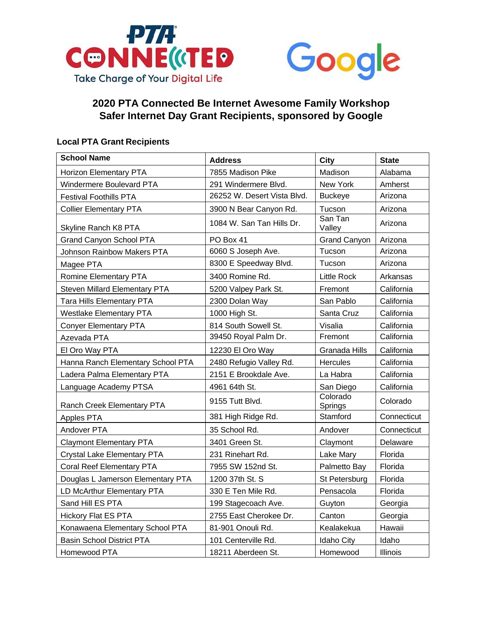



## **2020 PTA Connected Be Internet Awesome Family Workshop Safer Internet Day Grant Recipients, sponsored by Google**

## **Local PTA Grant Recipients**

| <b>School Name</b>                   | <b>Address</b>              | City                | <b>State</b> |
|--------------------------------------|-----------------------------|---------------------|--------------|
| Horizon Elementary PTA               | 7855 Madison Pike           | Madison             | Alabama      |
| Windermere Boulevard PTA             | 291 Windermere Blvd.        | New York            | Amherst      |
| <b>Festival Foothills PTA</b>        | 26252 W. Desert Vista Blvd. | <b>Buckeye</b>      | Arizona      |
| <b>Collier Elementary PTA</b>        | 3900 N Bear Canyon Rd.      | Tucson              | Arizona      |
| Skyline Ranch K8 PTA                 | 1084 W. San Tan Hills Dr.   | San Tan<br>Valley   | Arizona      |
| <b>Grand Canyon School PTA</b>       | PO Box 41                   | <b>Grand Canyon</b> | Arizona      |
| <b>Johnson Rainbow Makers PTA</b>    | 6060 S Joseph Ave.          | Tucson              | Arizona      |
| Magee PTA                            | 8300 E Speedway Blvd.       | Tucson              | Arizona      |
| Romine Elementary PTA                | 3400 Romine Rd.             | Little Rock         | Arkansas     |
| <b>Steven Millard Elementary PTA</b> | 5200 Valpey Park St.        | Fremont             | California   |
| <b>Tara Hills Elementary PTA</b>     | 2300 Dolan Way              | San Pablo           | California   |
| <b>Westlake Elementary PTA</b>       | 1000 High St.               | Santa Cruz          | California   |
| <b>Conyer Elementary PTA</b>         | 814 South Sowell St.        | Visalia             | California   |
| Azevada PTA                          | 39450 Royal Palm Dr.        | Fremont             | California   |
| El Oro Way PTA                       | 12230 El Oro Way            | Granada Hills       | California   |
| Hanna Ranch Elementary School PTA    | 2480 Refugio Valley Rd.     | <b>Hercules</b>     | California   |
| Ladera Palma Elementary PTA          | 2151 E Brookdale Ave.       | La Habra            | California   |
| Language Academy PTSA                | 4961 64th St.               | San Diego           | California   |
| Ranch Creek Elementary PTA           | 9155 Tutt Blvd.             | Colorado<br>Springs | Colorado     |
| Apples PTA                           | 381 High Ridge Rd.          | Stamford            | Connecticut  |
| Andover PTA                          | 35 School Rd.               | Andover             | Connecticut  |
| <b>Claymont Elementary PTA</b>       | 3401 Green St.              | Claymont            | Delaware     |
| Crystal Lake Elementary PTA          | 231 Rinehart Rd.            | Lake Mary           | Florida      |
| Coral Reef Elementary PTA            | 7955 SW 152nd St.           | Palmetto Bay        | Florida      |
| Douglas L Jamerson Elementary PTA    | 1200 37th St. S             | St Petersburg       | Florida      |
| LD McArthur Elementary PTA           | 330 E Ten Mile Rd.          | Pensacola           | Florida      |
| Sand Hill ES PTA                     | 199 Stagecoach Ave.         | Guyton              | Georgia      |
| <b>Hickory Flat ES PTA</b>           | 2755 East Cherokee Dr.      | Canton              | Georgia      |
| Konawaena Elementary School PTA      | 81-901 Onouli Rd.           | Kealakekua          | Hawaii       |
| <b>Basin School District PTA</b>     | 101 Centerville Rd.         | <b>Idaho City</b>   | Idaho        |
| Homewood PTA                         | 18211 Aberdeen St.          | Homewood            | Illinois     |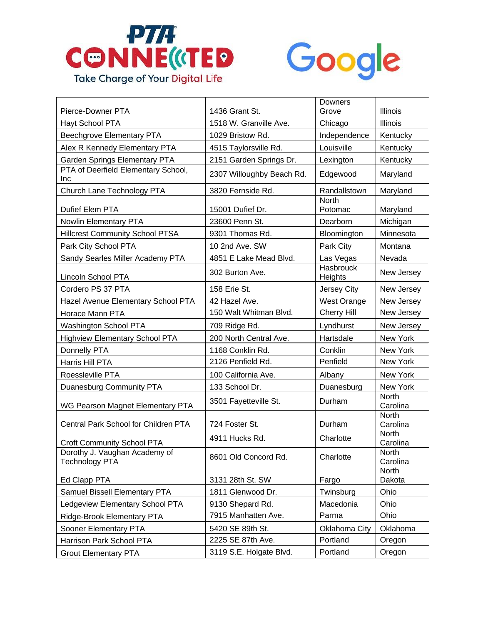



| Pierce-Downer PTA                                      | 1436 Grant St.            | Downers<br>Grove            | Illinois                 |
|--------------------------------------------------------|---------------------------|-----------------------------|--------------------------|
| Hayt School PTA                                        | 1518 W. Granville Ave.    | Chicago                     | <b>Illinois</b>          |
| Beechgrove Elementary PTA                              | 1029 Bristow Rd.          | Independence                | Kentucky                 |
| Alex R Kennedy Elementary PTA                          | 4515 Taylorsville Rd.     | Louisville                  | Kentucky                 |
| Garden Springs Elementary PTA                          | 2151 Garden Springs Dr.   | Lexington                   | Kentucky                 |
| PTA of Deerfield Elementary School,<br>Inc             | 2307 Willoughby Beach Rd. | Edgewood                    | Maryland                 |
| Church Lane Technology PTA                             | 3820 Fernside Rd.         | Randallstown                | Maryland                 |
| Dufief Elem PTA                                        | 15001 Dufief Dr.          | <b>North</b><br>Potomac     | Maryland                 |
| Nowlin Elementary PTA                                  | 23600 Penn St.            | Dearborn                    | Michigan                 |
| <b>Hillcrest Community School PTSA</b>                 | 9301 Thomas Rd.           | Bloomington                 | Minnesota                |
| Park City School PTA                                   | 10 2nd Ave. SW            | Park City                   | Montana                  |
| Sandy Searles Miller Academy PTA                       | 4851 E Lake Mead Blvd.    | Las Vegas                   | Nevada                   |
| Lincoln School PTA                                     | 302 Burton Ave.           | <b>Hasbrouck</b><br>Heights | New Jersey               |
| Cordero PS 37 PTA                                      | 158 Erie St.              | Jersey City                 | New Jersey               |
| Hazel Avenue Elementary School PTA                     | 42 Hazel Ave.             | <b>West Orange</b>          | New Jersey               |
| Horace Mann PTA                                        | 150 Walt Whitman Blvd.    | Cherry Hill                 | New Jersey               |
| Washington School PTA                                  | 709 Ridge Rd.             | Lyndhurst                   | New Jersey               |
| <b>Highview Elementary School PTA</b>                  | 200 North Central Ave.    | Hartsdale                   | New York                 |
| Donnelly PTA                                           | 1168 Conklin Rd.          | Conklin                     | New York                 |
| Harris Hill PTA                                        | 2126 Penfield Rd.         | Penfield                    | New York                 |
| Roessleville PTA                                       | 100 California Ave.       | Albany                      | New York                 |
| Duanesburg Community PTA                               | 133 School Dr.            | Duanesburg                  | New York                 |
| WG Pearson Magnet Elementary PTA                       | 3501 Fayetteville St.     | Durham                      | <b>North</b><br>Carolina |
| Central Park School for Children PTA                   | 724 Foster St.            | Durham                      | <b>North</b><br>Carolina |
| Croft Community School PTA                             | 4911 Hucks Rd.            | Charlotte                   | <b>North</b><br>Carolina |
| Dorothy J. Vaughan Academy of<br><b>Technology PTA</b> | 8601 Old Concord Rd.      | Charlotte                   | North<br>Carolina        |
| Ed Clapp PTA                                           | 3131 28th St. SW          | Fargo                       | <b>North</b><br>Dakota   |
| Samuel Bissell Elementary PTA                          | 1811 Glenwood Dr.         | Twinsburg                   | Ohio                     |
| Ledgeview Elementary School PTA                        | 9130 Shepard Rd.          | Macedonia                   | Ohio                     |
| Ridge-Brook Elementary PTA                             | 7915 Manhatten Ave.       | Parma                       | Ohio                     |
| Sooner Elementary PTA                                  | 5420 SE 89th St.          | Oklahoma City               | Oklahoma                 |
| Harrison Park School PTA                               | 2225 SE 87th Ave.         | Portland                    | Oregon                   |
| <b>Grout Elementary PTA</b>                            | 3119 S.E. Holgate Blvd.   | Portland                    | Oregon                   |